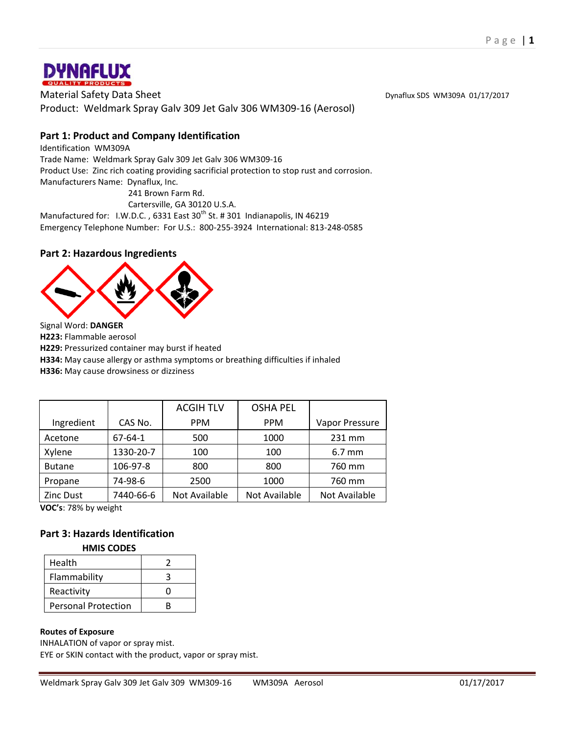

Material Safety Data Sheet **Dynaflux SDS WM309A 01/17/2017** Product: Weldmark Spray Galv 309 Jet Galv 306 WM309-16 (Aerosol)

# **Part 1: Product and Company Identification**

Identification WM309A Trade Name: Weldmark Spray Galv 309 Jet Galv 306 WM309-16 Product Use: Zinc rich coating providing sacrificial protection to stop rust and corrosion. Manufacturers Name: Dynaflux, Inc. 241 Brown Farm Rd.

Cartersville, GA 30120 U.S.A.

Manufactured for: I.W.D.C., 6331 East 30<sup>th</sup> St. # 301 Indianapolis, IN 46219 Emergency Telephone Number: For U.S.: 800-255-3924 International: 813-248-0585

# **Part 2: Hazardous Ingredients**



Signal Word: **DANGER**

**H223:** Flammable aerosol

**H229:** Pressurized container may burst if heated

**H334:** May cause allergy or asthma symptoms or breathing difficulties if inhaled

**H336:** May cause drowsiness or dizziness

|               |               | <b>ACGIH TLV</b> | <b>OSHA PEL</b> |                  |
|---------------|---------------|------------------|-----------------|------------------|
| Ingredient    | CAS No.       | <b>PPM</b>       | <b>PPM</b>      | Vapor Pressure   |
| Acetone       | $67 - 64 - 1$ | 500              | 1000            | 231 mm           |
| Xylene        | 1330-20-7     | 100              | 100             | $6.7 \text{ mm}$ |
| <b>Butane</b> | 106-97-8      | 800              | 800             | 760 mm           |
| Propane       | 74-98-6       | 2500             | 1000            | 760 mm           |
| Zinc Dust     | 7440-66-6     | Not Available    | Not Available   | Not Available    |

**VOC's**: 78% by weight

# **Part 3: Hazards Identification**

#### **HMIS CODES**

| Health                     |   |
|----------------------------|---|
| Flammability               |   |
| Reactivity                 |   |
| <b>Personal Protection</b> | R |

#### **Routes of Exposure**

INHALATION of vapor or spray mist.

EYE or SKIN contact with the product, vapor or spray mist.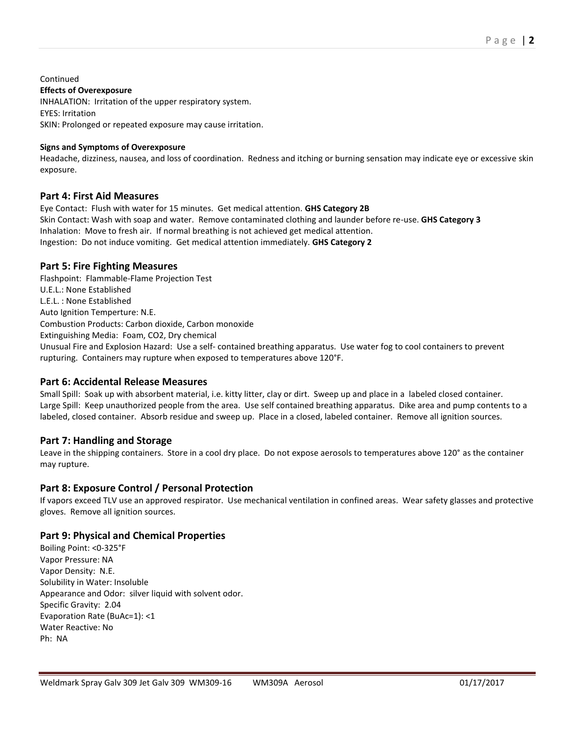**Continued Effects of Overexposure** INHALATION: Irritation of the upper respiratory system. EYES: Irritation SKIN: Prolonged or repeated exposure may cause irritation.

#### **Signs and Symptoms of Overexposure**

Headache, dizziness, nausea, and loss of coordination. Redness and itching or burning sensation may indicate eye or excessive skin exposure.

## **Part 4: First Aid Measures**

Eye Contact: Flush with water for 15 minutes. Get medical attention. **GHS Category 2B** Skin Contact: Wash with soap and water. Remove contaminated clothing and launder before re-use. **GHS Category 3** Inhalation: Move to fresh air. If normal breathing is not achieved get medical attention. Ingestion: Do not induce vomiting. Get medical attention immediately. **GHS Category 2**

## **Part 5: Fire Fighting Measures**

Flashpoint: Flammable-Flame Projection Test U.E.L.: None Established L.E.L. : None Established Auto Ignition Temperture: N.E. Combustion Products: Carbon dioxide, Carbon monoxide Extinguishing Media: Foam, CO2, Dry chemical Unusual Fire and Explosion Hazard: Use a self- contained breathing apparatus. Use water fog to cool containers to prevent rupturing. Containers may rupture when exposed to temperatures above 120°F.

## **Part 6: Accidental Release Measures**

Small Spill: Soak up with absorbent material, i.e. kitty litter, clay or dirt. Sweep up and place in a labeled closed container. Large Spill: Keep unauthorized people from the area. Use self contained breathing apparatus. Dike area and pump contents to a labeled, closed container. Absorb residue and sweep up. Place in a closed, labeled container. Remove all ignition sources.

## **Part 7: Handling and Storage**

Leave in the shipping containers. Store in a cool dry place. Do not expose aerosols to temperatures above 120° as the container may rupture.

## **Part 8: Exposure Control / Personal Protection**

If vapors exceed TLV use an approved respirator. Use mechanical ventilation in confined areas. Wear safety glasses and protective gloves. Remove all ignition sources.

## **Part 9: Physical and Chemical Properties**

Boiling Point: <0-325°F Vapor Pressure: NA Vapor Density: N.E. Solubility in Water: Insoluble Appearance and Odor: silver liquid with solvent odor. Specific Gravity: 2.04 Evaporation Rate (BuAc=1): <1 Water Reactive: No Ph: NA